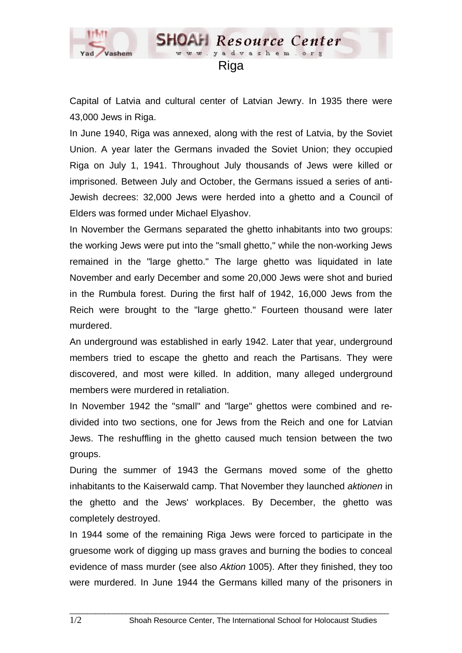

Capital of Latvia and cultural center of Latvian Jewry. In 1935 there were 43,000 Jews in Riga.

In June 1940, Riga was annexed, along with the rest of Latvia, by the Soviet Union. A year later the Germans invaded the Soviet Union; they occupied Riga on July 1, 1941. Throughout July thousands of Jews were killed or imprisoned. Between July and October, the Germans issued a series of anti-Jewish decrees: 32,000 Jews were herded into a ghetto and a Council of Elders was formed under Michael Elyashov.

In November the Germans separated the ghetto inhabitants into two groups: the working Jews were put into the "small ghetto," while the non-working Jews remained in the "large ghetto." The large ghetto was liquidated in late November and early December and some 20,000 Jews were shot and buried in the Rumbula forest. During the first half of 1942, 16,000 Jews from the Reich were brought to the "large ghetto." Fourteen thousand were later murdered.

An underground was established in early 1942. Later that year, underground members tried to escape the ghetto and reach the Partisans. They were discovered, and most were killed. In addition, many alleged underground members were murdered in retaliation.

In November 1942 the "small" and "large" ghettos were combined and redivided into two sections, one for Jews from the Reich and one for Latvian Jews. The reshuffling in the ghetto caused much tension between the two groups.

During the summer of 1943 the Germans moved some of the ghetto inhabitants to the Kaiserwald camp. That November they launched *aktionen* in the ghetto and the Jews' workplaces. By December, the ghetto was completely destroyed.

In 1944 some of the remaining Riga Jews were forced to participate in the gruesome work of digging up mass graves and burning the bodies to conceal evidence of mass murder (see also *Aktion* 1005). After they finished, they too were murdered. In June 1944 the Germans killed many of the prisoners in

 $\_$  ,  $\_$  ,  $\_$  ,  $\_$  ,  $\_$  ,  $\_$  ,  $\_$  ,  $\_$  ,  $\_$  ,  $\_$  ,  $\_$  ,  $\_$  ,  $\_$  ,  $\_$  ,  $\_$  ,  $\_$  ,  $\_$  ,  $\_$  ,  $\_$